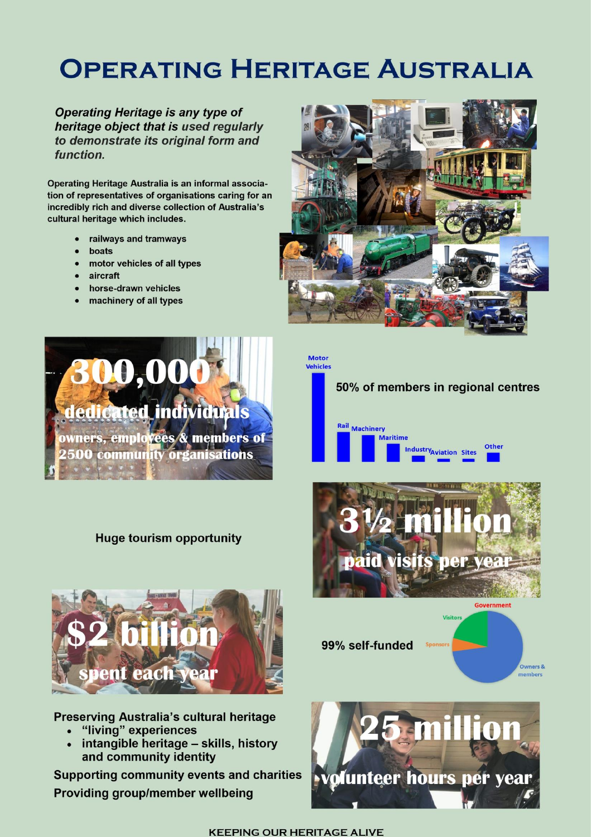# **OPERATING HERITAGE AUSTRALIA**

**Operating Heritage is any type of** heritage object that is used regularly to demonstrate its original form and *function* 

Operating Heritage Australia is an informal association of representatives of organisations caring for an incredibly rich and diverse collection of Australia's cultural heritage which includes.

- railways and tramways  $\bullet$
- boats
- motor vehicles of all types  $\bullet$
- aircraft
- horse-drawn vehicles
- machinery of all types



#### **Huge tourism opportunity**



**Preserving Australia's cultural heritage** 

- "living" experiences
- intangible heritage skills, history  $\bullet$ and community identity

**Supporting community events and charities** Providing group/member wellbeing



**Motor** Vehicles

50% of members in regional centres





99% self-funded Owners & momhors